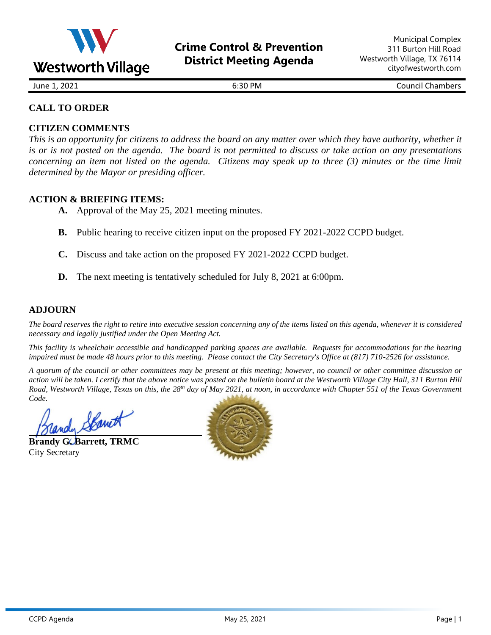

June 1, 2021 6:30 PM Council Chambers

# **CALL TO ORDER**

# **CITIZEN COMMENTS**

*This is an opportunity for citizens to address the board on any matter over which they have authority, whether it is or is not posted on the agenda. The board is not permitted to discuss or take action on any presentations concerning an item not listed on the agenda. Citizens may speak up to three (3) minutes or the time limit determined by the Mayor or presiding officer.*

# **ACTION & BRIEFING ITEMS:**

- **A.** Approval of the May 25, 2021 meeting minutes.
- **B.** Public hearing to receive citizen input on the proposed FY 2021-2022 CCPD budget.
- **C.** Discuss and take action on the proposed FY 2021-2022 CCPD budget.
- **D.** The next meeting is tentatively scheduled for July 8, 2021 at 6:00pm.

# **ADJOURN**

*The board reserves the right to retire into executive session concerning any of the items listed on this agenda, whenever it is considered necessary and legally justified under the Open Meeting Act.*

*This facility is wheelchair accessible and handicapped parking spaces are available. Requests for accommodations for the hearing impaired must be made 48 hours prior to this meeting. Please contact the City Secretary's Office at (817) 710-2526 for assistance.*

*A quorum of the council or other committees may be present at this meeting; however, no council or other committee discussion or action will be taken. I certify that the above notice was posted on the bulletin board at the Westworth Village City Hall, 311 Burton Hill*  Road, Westworth Village, Texas on this, the 28<sup>th</sup> day of May 2021, at noon, in accordance with Chapter 551 of the Texas Government *Code.* 

indy Spanet

**Brandy G. Barrett, TRMC** City Secretary

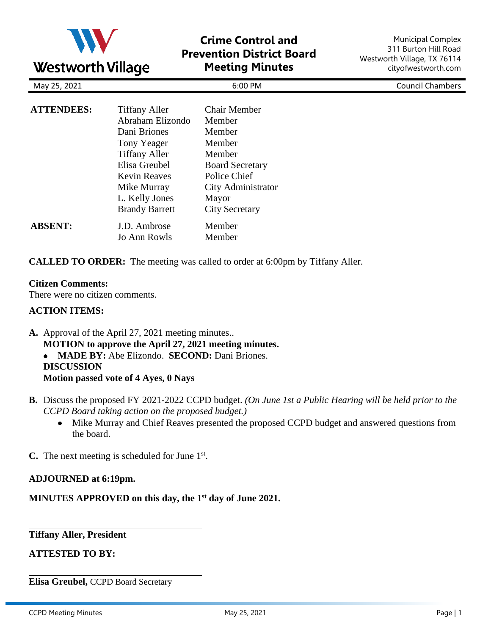

# **Crime Control and Prevention District Board Meeting Minutes**

Municipal Complex 311 Burton Hill Road Westworth Village, TX 76114 cityofwestworth.com

|                   | ~                     |                        |                         |
|-------------------|-----------------------|------------------------|-------------------------|
| May 25, 2021      |                       | 6:00 PM                | <b>Council Chambers</b> |
| <b>ATTENDEES:</b> | <b>Tiffany Aller</b>  | <b>Chair Member</b>    |                         |
|                   | Abraham Elizondo      | Member                 |                         |
|                   | Dani Briones          | Member                 |                         |
|                   | Tony Yeager           | Member                 |                         |
|                   | <b>Tiffany Aller</b>  | Member                 |                         |
|                   | Elisa Greubel         | <b>Board Secretary</b> |                         |
|                   | <b>Kevin Reaves</b>   | Police Chief           |                         |
|                   | Mike Murray           | City Administrator     |                         |
|                   | L. Kelly Jones        | Mayor                  |                         |
|                   | <b>Brandy Barrett</b> | <b>City Secretary</b>  |                         |
| <b>ABSENT:</b>    | J.D. Ambrose          | Member                 |                         |
|                   | Jo Ann Rowls          | Member                 |                         |
|                   |                       |                        |                         |

**CALLED TO ORDER:** The meeting was called to order at 6:00pm by Tiffany Aller.

### **Citizen Comments:**

There were no citizen comments.

### **ACTION ITEMS:**

**A.** Approval of the April 27, 2021 meeting minutes.. **MOTION to approve the April 27, 2021 meeting minutes.** • **MADE BY:** Abe Elizondo. **SECOND:** Dani Briones. **DISCUSSION Motion passed vote of 4 Ayes, 0 Nays**

- **B.** Discuss the proposed FY 2021-2022 CCPD budget. *(On June 1st a Public Hearing will be held prior to the CCPD Board taking action on the proposed budget.)*
	- Mike Murray and Chief Reaves presented the proposed CCPD budget and answered questions from the board.

**C.** The next meeting is scheduled for June 1st.

#### **ADJOURNED at 6:19pm.**

**MINUTES APPROVED on this day, the 1 st day of June 2021.**

**Tiffany Aller, President**

**ATTESTED TO BY:**

**Elisa Greubel,** CCPD Board Secretary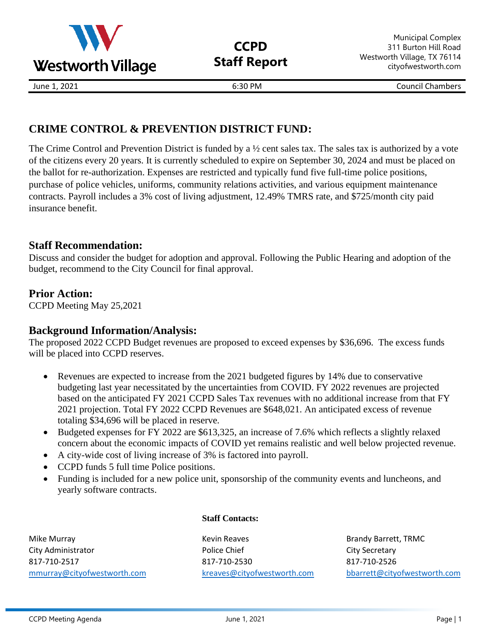

**CCPD Staff Report**

Municipal Complex 311 Burton Hill Road Westworth Village, TX 76114 cityofwestworth.com

June 1, 2021 6:30 PM Council Chambers

# **CRIME CONTROL & PREVENTION DISTRICT FUND:**

The Crime Control and Prevention District is funded by a ½ cent sales tax. The sales tax is authorized by a vote of the citizens every 20 years. It is currently scheduled to expire on September 30, 2024 and must be placed on the ballot for re-authorization. Expenses are restricted and typically fund five full-time police positions, purchase of police vehicles, uniforms, community relations activities, and various equipment maintenance contracts. Payroll includes a 3% cost of living adjustment, 12.49% TMRS rate, and \$725/month city paid insurance benefit.

# **Staff Recommendation:**

Discuss and consider the budget for adoption and approval. Following the Public Hearing and adoption of the budget, recommend to the City Council for final approval.

# **Prior Action:**

CCPD Meeting May 25,2021

# **Background Information/Analysis:**

The proposed 2022 CCPD Budget revenues are proposed to exceed expenses by \$36,696. The excess funds will be placed into CCPD reserves.

- Revenues are expected to increase from the 2021 budgeted figures by 14% due to conservative budgeting last year necessitated by the uncertainties from COVID. FY 2022 revenues are projected based on the anticipated FY 2021 CCPD Sales Tax revenues with no additional increase from that FY 2021 projection. Total FY 2022 CCPD Revenues are \$648,021. An anticipated excess of revenue totaling \$34,696 will be placed in reserve.
- Budgeted expenses for FY 2022 are \$613,325, an increase of 7.6% which reflects a slightly relaxed concern about the economic impacts of COVID yet remains realistic and well below projected revenue.
- A city-wide cost of living increase of 3% is factored into payroll.
- CCPD funds 5 full time Police positions.
- Funding is included for a new police unit, sponsorship of the community events and luncheons, and yearly software contracts.

Mike Murray North Communication of the Murray Kevin Reaves Alternative Brandy Barrett, TRMC City Administrator **City Administrator** Police Chief Chief City Secretary 817-710-2517 817-710-2530 817-710-2526 [mmurray@cityofwestworth.com](mailto:mmurray@cityofwestworth.com) [kreaves@cityofwestworth.com](mailto:kreaves@cityofwestworth.com) [bbarrett@cityofwestworth.com](mailto:bbarrett@cityofwestworth.com)

# **Staff Contacts:**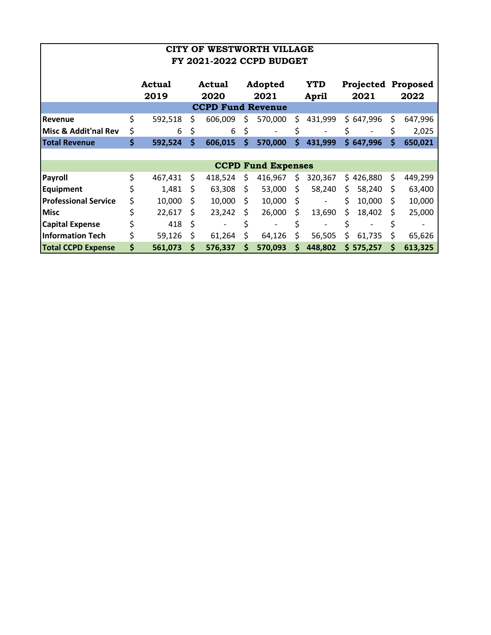|                             | CITY OF WESTWORTH VILLAGE<br><b>FY 2021-2022 CCPD BUDGET</b> |                       |     |                |    |                           |    |                     |     |                          |    |                                   |
|-----------------------------|--------------------------------------------------------------|-----------------------|-----|----------------|----|---------------------------|----|---------------------|-----|--------------------------|----|-----------------------------------|
|                             |                                                              |                       |     |                |    |                           |    |                     |     |                          |    |                                   |
|                             |                                                              | <b>Actual</b><br>2019 |     | Actual<br>2020 |    | Adopted<br>2021           |    | <b>YTD</b><br>April |     | 2021                     |    | <b>Projected Proposed</b><br>2022 |
| <b>CCPD Fund Revenue</b>    |                                                              |                       |     |                |    |                           |    |                     |     |                          |    |                                   |
| Revenue                     | \$                                                           | 592,518               | S.  | 606,009        | S. | 570,000                   | Ś  | 431,999             |     | \$647,996                | \$ | 647,996                           |
| Misc & Addit'nal Rev        | \$                                                           | 6                     | \$  | 6              | \$ |                           |    |                     | \$  |                          | \$ | 2,025                             |
| <b>Total Revenue</b>        | \$                                                           | 592,524               | Ŝ.  | 606,015        | Ŝ. | 570,000                   | Ś. | 431,999             |     | \$647,996                | Ś  | 650,021                           |
|                             |                                                              |                       |     |                |    |                           |    |                     |     |                          |    |                                   |
|                             |                                                              |                       |     |                |    | <b>CCPD Fund Expenses</b> |    |                     |     |                          |    |                                   |
| <b>Payroll</b>              | \$                                                           | 467,431               | \$. | 418,524        | \$ | 416,967                   | \$ | 320,367             |     | \$426,880                | \$ | 449,299                           |
| <b>Equipment</b>            |                                                              | 1,481                 | S   | 63,308         | S. | 53,000                    | Ś  | 58,240              | \$. | 58,240                   | S  | 63,400                            |
| <b>Professional Service</b> | \$                                                           | 10,000                | S   | 10,000         | S. | 10,000                    | \$ | -                   | \$  | 10,000                   | S  | 10,000                            |
| <b>Misc</b>                 |                                                              | 22,617                | S   | 23,242         | S. | 26,000                    | \$ | 13,690              | \$. | 18,402                   | S  | 25,000                            |
| <b>Capital Expense</b>      |                                                              | 418                   | Ŝ.  |                |    | -                         | Ś  |                     | Ś   | $\overline{\phantom{a}}$ | Ś  |                                   |
| <b>Information Tech</b>     |                                                              | 59,126                | S   | 61,264         | \$ | 64,126                    | \$ | 56,505              | \$  | 61,735                   | \$ | 65,626                            |
| <b>Total CCPD Expense</b>   | \$                                                           | 561,073               | \$  | 576,337        | \$ | 570,093                   | \$ | 448,802             |     | \$575,257                | \$ | 613,325                           |

**I**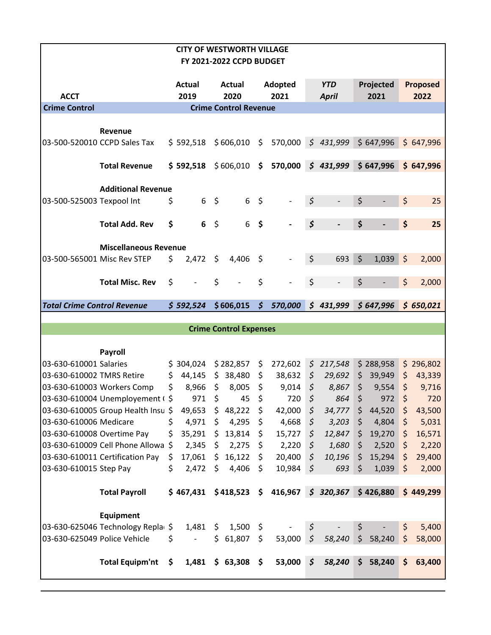|                                                     |                                    |     | <b>CITY OF WESTWORTH VILLAGE</b> |         |                               |                     |                                  |                |                            |                |                     |         |                         |
|-----------------------------------------------------|------------------------------------|-----|----------------------------------|---------|-------------------------------|---------------------|----------------------------------|----------------|----------------------------|----------------|---------------------|---------|-------------------------|
|                                                     |                                    |     |                                  |         | FY 2021-2022 CCPD BUDGET      |                     |                                  |                |                            |                |                     |         |                         |
|                                                     |                                    |     |                                  |         |                               |                     |                                  |                |                            |                |                     |         |                         |
| <b>ACCT</b>                                         |                                    |     | <b>Actual</b><br>2019            |         | <b>Actual</b><br>2020         |                     | Adopted<br>2021                  |                | <b>YTD</b><br><b>April</b> |                | Projected<br>2021   |         | <b>Proposed</b><br>2022 |
| <b>Crime Control</b>                                |                                    |     |                                  |         | <b>Crime Control Revenue</b>  |                     |                                  |                |                            |                |                     |         |                         |
|                                                     |                                    |     |                                  |         |                               |                     |                                  |                |                            |                |                     |         |                         |
|                                                     | <b>Revenue</b>                     |     |                                  |         |                               |                     |                                  |                |                            |                |                     |         |                         |
|                                                     | 03-500-520010 CCPD Sales Tax       |     | $$592,518$ $$606,010$ \$         |         |                               |                     | 570,000                          |                | \$431,999                  |                | \$647,996           |         | \$647,996               |
|                                                     |                                    |     |                                  |         |                               |                     |                                  |                |                            |                |                     |         |                         |
|                                                     | <b>Total Revenue</b>               |     |                                  |         |                               |                     | $$592,518$ $$606,010$ $$570,000$ |                | \$431,999                  |                | \$647,996           |         | \$647,996               |
|                                                     | <b>Additional Revenue</b>          |     |                                  |         |                               |                     |                                  |                |                            |                |                     |         |                         |
| 03-500-525003 Texpool Int                           |                                    | \$  | 6                                | - \$    | 6                             | $\zeta$             |                                  | $\varsigma$    |                            | \$             |                     | \$      | 25                      |
|                                                     |                                    |     |                                  |         |                               |                     |                                  |                |                            |                |                     |         |                         |
|                                                     | <b>Total Add. Rev</b>              | \$  | 6                                | $\zeta$ | 6                             | \$                  |                                  | \$             |                            | \$             |                     | \$      | 25                      |
|                                                     |                                    |     |                                  |         |                               |                     |                                  |                |                            |                |                     |         |                         |
|                                                     | <b>Miscellaneous Revenue</b>       |     |                                  |         |                               |                     |                                  |                |                            |                |                     |         |                         |
| 03-500-565001 Misc Rev STEP                         |                                    | \$  | 2,472                            | \$.     | 4,406                         | \$                  |                                  | \$             | 693                        | $\zeta$        | 1,039               | $\zeta$ | 2,000                   |
|                                                     |                                    |     |                                  |         |                               |                     |                                  |                |                            |                |                     |         |                         |
|                                                     | <b>Total Misc. Rev</b>             | \$  |                                  | \$      |                               | \$                  |                                  | \$             |                            | \$             |                     | \$      | 2,000                   |
| <b>Total Crime Control Revenue</b>                  |                                    |     | \$592,524                        |         | \$606,015                     | $\mathsf{S}$        | 570,000                          |                | \$431,999                  |                | \$647,996           |         | \$650,021               |
|                                                     |                                    |     |                                  |         |                               |                     |                                  |                |                            |                |                     |         |                         |
|                                                     |                                    |     |                                  |         | <b>Crime Control Expenses</b> |                     |                                  |                |                            |                |                     |         |                         |
|                                                     |                                    |     |                                  |         |                               |                     |                                  |                |                            |                |                     |         |                         |
|                                                     | Payroll                            |     |                                  |         |                               |                     |                                  |                |                            |                |                     |         |                         |
| 03-630-610001 Salaries<br>03-630-610002 TMRS Retire |                                    | \$  | \$304,024<br>44,145              |         | \$282,857<br>\$38,480         | \$<br>\$            | 272,602<br>38,632                | \$             | \$217,548<br>29,692        | \$             | \$288,958<br>39,949 | \$      | \$296,802<br>43,339     |
|                                                     | 03-630-610003 Workers Comp         | \$  | 8,966                            | $\zeta$ | 8,005                         | \$                  | 9,014                            | $\zeta$        | 8,867                      | \$             | 9,554               | \$      | 9,716                   |
|                                                     | 03-630-610004 Unemployement (\$    |     | 971                              | \$      | 45                            | \$                  | 720                              | \$             | 864                        | \$             | 972                 | \$      | 720                     |
|                                                     | 03-630-610005 Group Health Insu \$ |     | 49,653                           |         | \$48,222                      | \$                  | 42,000                           | \$             | 34,777                     | \$             | 44,520              | \$      | 43,500                  |
| 03-630-610006 Medicare                              |                                    | \$  | 4,971                            | \$      | 4,295                         | \$                  | 4,668                            | \$             | 3,203                      | \$             | 4,804               | \$      | 5,031                   |
| 03-630-610008 Overtime Pay                          |                                    | \$  | 35,291                           |         | \$13,814                      | $\ddot{\bm{\zeta}}$ | 15,727                           | \$             | 12,847                     | \$.            | 19,270              | \$      | 16,571                  |
|                                                     | 03-630-610009 Cell Phone Allowa \$ |     | 2,345                            |         | \$2,275                       | - \$                | 2,220                            | \$             | 1,680                      | \$             | 2,520               | \$      | 2,220                   |
|                                                     | 03-630-610011 Certification Pay    | \$. | 17,061                           |         | \$16,122                      | \$.                 | 20,400                           | $\varsigma$    | 10,196                     | \$.            | 15,294              | \$      | 29,400                  |
| 03-630-610015 Step Pay                              |                                    | \$  | 2,472                            | \$      | 4,406                         | -\$                 | 10,984                           | $\zeta$        | 693                        | \$             | 1,039               | \$      | 2,000                   |
|                                                     |                                    |     |                                  |         |                               |                     |                                  |                |                            |                |                     |         |                         |
|                                                     | <b>Total Payroll</b>               |     | \$467,431                        |         | $$418,523$ \$                 |                     | 416,967                          |                | \$320,367                  |                | \$426,880           |         | \$449,299               |
|                                                     | <b>Equipment</b>                   |     |                                  |         |                               |                     |                                  |                |                            |                |                     |         |                         |
|                                                     | 03-630-625046 Technology Repla \$  |     | 1,481                            |         | $$1,500$ \$                   |                     |                                  | \$             |                            | \$             |                     | \$      | 5,400                   |
| 03-630-625049 Police Vehicle                        |                                    | \$  |                                  |         | \$61,807                      | \$                  | 53,000                           | $\zeta$        | 58,240                     | $\zeta$        | 58,240              | \$      | 58,000                  |
|                                                     |                                    |     |                                  |         |                               |                     |                                  |                |                            |                |                     |         |                         |
|                                                     | <b>Total Equipm'nt</b>             | \$. | 1,481                            |         | \$63,308\$                    |                     | 53,000                           | $\mathfrak{S}$ | 58,240                     | $\mathsf{S}^-$ | 58,240              | \$      | 63,400                  |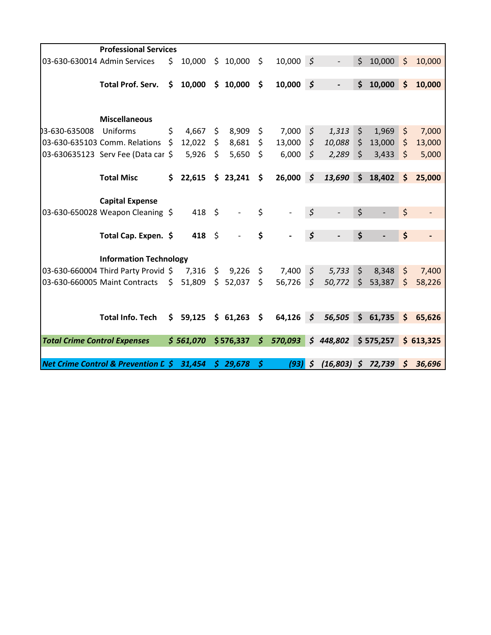|                                     | <b>Professional Services</b>                   |      |                   |    |           |              |               |                      |               |                    |           |              |           |
|-------------------------------------|------------------------------------------------|------|-------------------|----|-----------|--------------|---------------|----------------------|---------------|--------------------|-----------|--------------|-----------|
|                                     | 03-630-630014 Admin Services                   | \$   | 10,000            | \$ | 10,000    | \$           | $10,000 \leq$ |                      |               | \$                 | 10,000    | \$           | 10,000    |
|                                     | <b>Total Prof. Serv.</b>                       | \$   | 10,000            |    | \$10,000  | \$           | $10,000 \leq$ |                      |               | \$                 | 10,000    | Ś            | 10,000    |
|                                     |                                                |      |                   |    |           |              |               |                      |               |                    |           |              |           |
|                                     |                                                |      |                   |    |           |              |               |                      |               |                    |           |              |           |
|                                     | <b>Miscellaneous</b>                           |      |                   |    |           |              |               |                      |               |                    |           |              |           |
| 03-630-635008                       | Uniforms                                       | \$   | 4,667             | \$ | 8,909     | \$           | 7,000         | \$                   | 1,313         | \$                 | 1,969     | \$           | 7,000     |
|                                     | 03-630-635103 Comm. Relations                  | - \$ | 12,022            | \$ | 8,681     | \$           | 13,000        | \$                   | 10,088        | $\zeta$            | 13,000    | \$           | 13,000    |
|                                     | 03-630635123 Serv Fee (Data car \$             |      | 5,926             | Ŝ. | 5,650     | \$           | 6,000         | \$                   | 2,289         | $\mathsf{\hat{S}}$ | 3,433     | \$           | 5,000     |
|                                     |                                                |      |                   |    |           |              |               |                      |               |                    |           |              |           |
|                                     | <b>Total Misc</b>                              | \$   | 22,615            |    | \$23,241  | \$           | $26,000$ \$   |                      | 13,690        | \$                 | 18,402    | Ś            | 25,000    |
|                                     | <b>Capital Expense</b>                         |      |                   |    |           |              |               |                      |               |                    |           |              |           |
|                                     | 03-630-650028 Weapon Cleaning \$               |      | $418 \quad $5$    |    |           | \$           |               | \$                   |               | \$                 |           | \$           |           |
|                                     |                                                |      |                   |    |           |              |               |                      |               |                    |           |              |           |
|                                     | Total Cap. Expen. \$                           |      | 418 $\frac{1}{2}$ |    |           | \$           |               | \$                   |               | \$                 |           | \$           |           |
|                                     | <b>Information Technology</b>                  |      |                   |    |           |              |               |                      |               |                    |           |              |           |
|                                     | 03-630-660004 Third Party Provid \$            |      | 7,316             |    | \$9,226   | \$           | 7,400         | $\zeta$              | 5,733         | $\mathsf{\hat{S}}$ | 8,348     | $\zeta$      | 7,400     |
|                                     | 03-630-660005 Maint Contracts                  | \$   | 51,809            | \$ | 52,037    | \$           | 56,726        | \$                   | 50,772        | \$                 | 53,387    | Ś            | 58,226    |
|                                     |                                                |      |                   |    |           |              |               |                      |               |                    |           |              |           |
|                                     |                                                |      |                   |    |           |              |               |                      |               |                    |           |              |           |
|                                     | <b>Total Info. Tech</b>                        | \$   | 59,125            |    | \$61,263  | \$           | 64,126        | $\boldsymbol{\zeta}$ | 56,505        | \$                 | 61,735    | \$           | 65,626    |
| <b>Total Crime Control Expenses</b> |                                                |      | \$561,070         |    | \$576,337 | $\mathsf{S}$ | 570,093       |                      | \$448,802     |                    | \$575,257 |              | \$613,325 |
|                                     |                                                |      |                   |    |           |              |               |                      |               |                    |           |              |           |
|                                     | <b>Net Crime Control &amp; Prevention L \$</b> |      | 31,454            |    | \$29,678  | \$           | (93)          | $\boldsymbol{\zeta}$ | $(16,803)$ \$ |                    | 72,739    | $\mathsf{S}$ | 36,696    |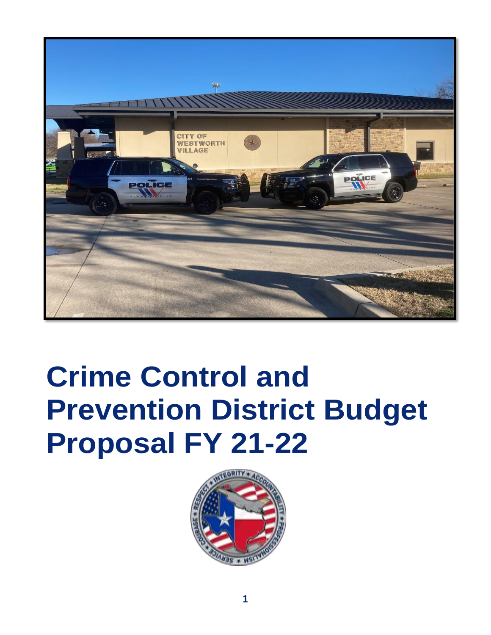

# **Crime Control and Prevention District Budget Proposal FY 21-22**

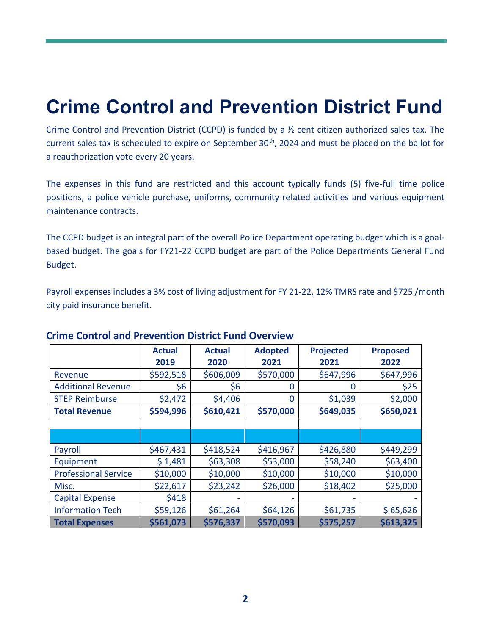# **Crime Control and Prevention District Fund**

Crime Control and Prevention District (CCPD) is funded by a ½ cent citizen authorized sales tax. The current sales tax is scheduled to expire on September 30<sup>th</sup>, 2024 and must be placed on the ballot for a reauthorization vote every 20 years.

The expenses in this fund are restricted and this account typically funds (5) five-full time police positions, a police vehicle purchase, uniforms, community related activities and various equipment maintenance contracts.

The CCPD budget is an integral part of the overall Police Department operating budget which is a goalbased budget. The goals for FY21-22 CCPD budget are part of the Police Departments General Fund Budget.

Payroll expenses includes a 3% cost of living adjustment for FY 21-22, 12% TMRS rate and \$725 /month city paid insurance benefit.

|                             | <b>Actual</b> | <b>Actual</b> | <b>Adopted</b> | <b>Projected</b> | <b>Proposed</b> |
|-----------------------------|---------------|---------------|----------------|------------------|-----------------|
|                             | 2019          | 2020          | 2021           | 2021             | 2022            |
| Revenue                     | \$592,518     | \$606,009     | \$570,000      | \$647,996        | \$647,996       |
| <b>Additional Revenue</b>   | \$6           | \$6           | 0              | O                | \$25            |
| <b>STEP Reimburse</b>       | \$2,472       | \$4,406       | 0              | \$1,039          | \$2,000         |
| <b>Total Revenue</b>        | \$594,996     | \$610,421     | \$570,000      | \$649,035        | \$650,021       |
|                             |               |               |                |                  |                 |
|                             |               |               |                |                  |                 |
| Payroll                     | \$467,431     | \$418,524     | \$416,967      | \$426,880        | \$449,299       |
| Equipment                   | \$1,481       | \$63,308      | \$53,000       | \$58,240         | \$63,400        |
| <b>Professional Service</b> | \$10,000      | \$10,000      | \$10,000       | \$10,000         | \$10,000        |
| Misc.                       | \$22,617      | \$23,242      | \$26,000       | \$18,402         | \$25,000        |
| <b>Capital Expense</b>      | \$418         |               |                |                  |                 |
| <b>Information Tech</b>     | \$59,126      | \$61,264      | \$64,126       | \$61,735         | \$65,626        |
| <b>Total Expenses</b>       | \$561,073     | \$576,337     | \$570,093      | \$575,257        | \$613,325       |

# **Crime Control and Prevention District Fund Overview**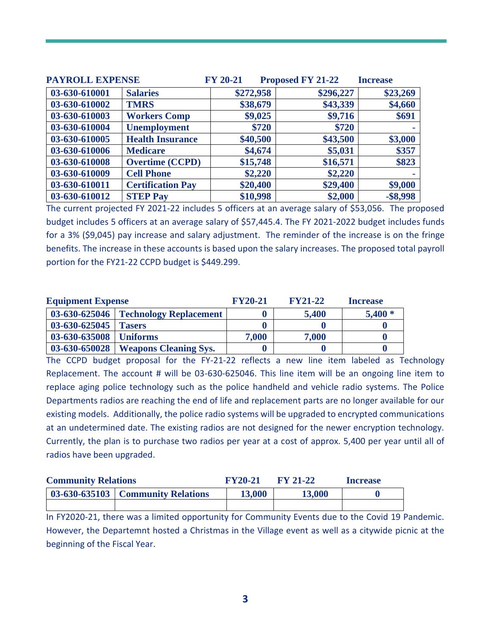| <b>PAYROLL EXPENSE</b> |                          | <b>FY 20-21</b> | <b>Proposed FY 21-22</b> | <b>Increase</b>   |
|------------------------|--------------------------|-----------------|--------------------------|-------------------|
| 03-630-610001          | <b>Salaries</b>          | \$272,958       | \$296,227                | \$23,269          |
| 03-630-610002          | <b>TMRS</b>              | \$38,679        | \$43,339                 | \$4,660           |
| 03-630-610003          | <b>Workers Comp</b>      | \$9,025         | \$9,716                  | \$691             |
| 03-630-610004          | <b>Unemployment</b>      | \$720           | \$720                    | <b>CONTRACTOR</b> |
| 03-630-610005          | <b>Health Insurance</b>  | \$40,500        | \$43,500                 | \$3,000           |
| 03-630-610006          | <b>Medicare</b>          | \$4,674         | \$5,031                  | \$357             |
| 03-630-610008          | <b>Overtime (CCPD)</b>   | \$15,748        | \$16,571                 | \$823             |
| 03-630-610009          | <b>Cell Phone</b>        | \$2,220         | \$2,220                  |                   |
| 03-630-610011          | <b>Certification Pay</b> | \$20,400        | \$29,400                 | \$9,000           |
| 03-630-610012          | <b>STEP Pay</b>          | \$10,998        | \$2,000                  | $-$ \$8,998       |

The current projected FY 2021-22 includes 5 officers at an average salary of \$53,056. The proposed budget includes 5 officers at an average salary of \$57,445.4. The FY 2021-2022 budget includes funds for a 3% (\$9,045) pay increase and salary adjustment. The reminder of the increase is on the fringe benefits. The increase in these accounts is based upon the salary increases. The proposed total payroll portion for the FY21-22 CCPD budget is \$449.299.

| <b>Equipment Expense</b> |                                        | <b>FY20-21</b> | <b>FY21-22</b> | <b>Increase</b> |
|--------------------------|----------------------------------------|----------------|----------------|-----------------|
|                          | 03-630-625046   Technology Replacement |                | 5,400          | $5,400*$        |
| $03-630-625045$ Tasers   |                                        |                |                |                 |
| 03-630-635008   Uniforms |                                        | 7,000          | 7,000          |                 |
| $03 - 630 - 650028$      | <b>Weapons Cleaning Sys.</b>           |                |                |                 |

The CCPD budget proposal for the FY-21-22 reflects a new line item labeled as Technology Replacement. The account # will be 03-630-625046. This line item will be an ongoing line item to replace aging police technology such as the police handheld and vehicle radio systems. The Police Departments radios are reaching the end of life and replacement parts are no longer available for our existing models. Additionally, the police radio systems will be upgraded to encrypted communications at an undetermined date. The existing radios are not designed for the newer encryption technology. Currently, the plan is to purchase two radios per year at a cost of approx. 5,400 per year until all of radios have been upgraded.

| <b>Community Relations</b> |                                     | <b>FY20-21</b> | $FY$ 21-22 | <b>Increase</b> |
|----------------------------|-------------------------------------|----------------|------------|-----------------|
|                            | 03-630-635103   Community Relations | 13,000         | 13,000     |                 |
|                            |                                     |                |            |                 |

In FY2020-21, there was a limited opportunity for Community Events due to the Covid 19 Pandemic. However, the Departemnt hosted a Christmas in the Village event as well as a citywide picnic at the beginning of the Fiscal Year.